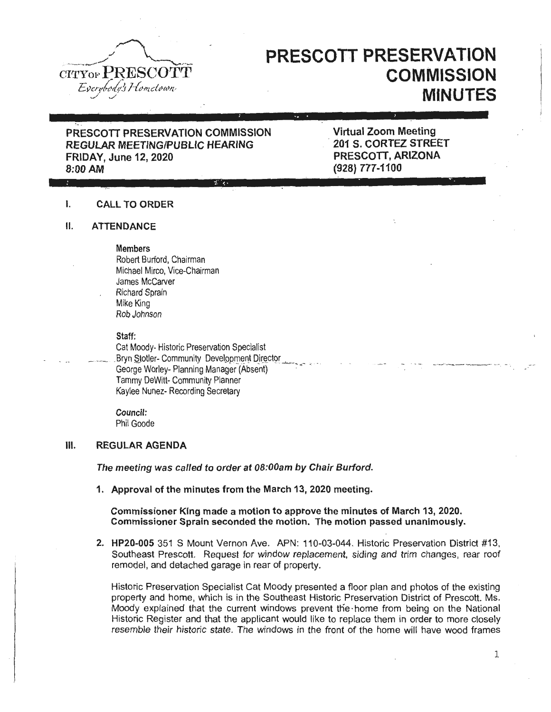

# **PRESCOTT PRESERVATION COMMISSION MINUTES**

## PRESCOTT PRESERVATION COMMISSION REGULAR MEETING/PUBLIC HEARING FRIDAY, June 12, 2020

Virtual Zoom Meeting .. 201 5. CORTEZ STREET PRESCOTT, ARIZONA (928) 777-1100

#### I. CALL TO ORDER

#### II. ATTENDANCE

Members

Robert Burford, Chairman Michael Mirco, Vice-Chairman James McCarver Richard Sprain Mike King Rob Johnson

Staff:

Cat Moody- Historic Preservation Specialist Bryn Stotler- Community Development Director George Worley- Planning Manager (Absent) Tammy DeWitt- Community Planner Kaylee Nunez- Recording Secretary

Council: Phil Goode

### Ill. REGULAR AGENDA

The meeting was called to order at OB:OOam by Chair Burford.

: ';!\_"'4!'· .. <1111'.

1. Approval of the minutes from the March 13, 2020 meeting.

Commissioner King made a motion to approve the minutes of March 13, 2020. Commissioner Sprain seconded the motion. The motion passed unanimously.

2. HP20-005 351 S Mount Vernon Ave. APN: 110-03-044. Historic Preservation District #13, Southeast Prescott. Request for window replacement, siding and trim changes, rear roof remodel, and detached garage in rear of property.

Historic Preservation Specialist Cat Moody presented a floor plan and photos of the existing property and home, which is in the Southeast Historic Preservation District of Prescott. Ms. Moody explained that the current windows prevent tne ·home from being on the National Historic Register and that the applicant would like to replace them in order to more closely resemble their historic state. The windows in the front of the home will have wood frames